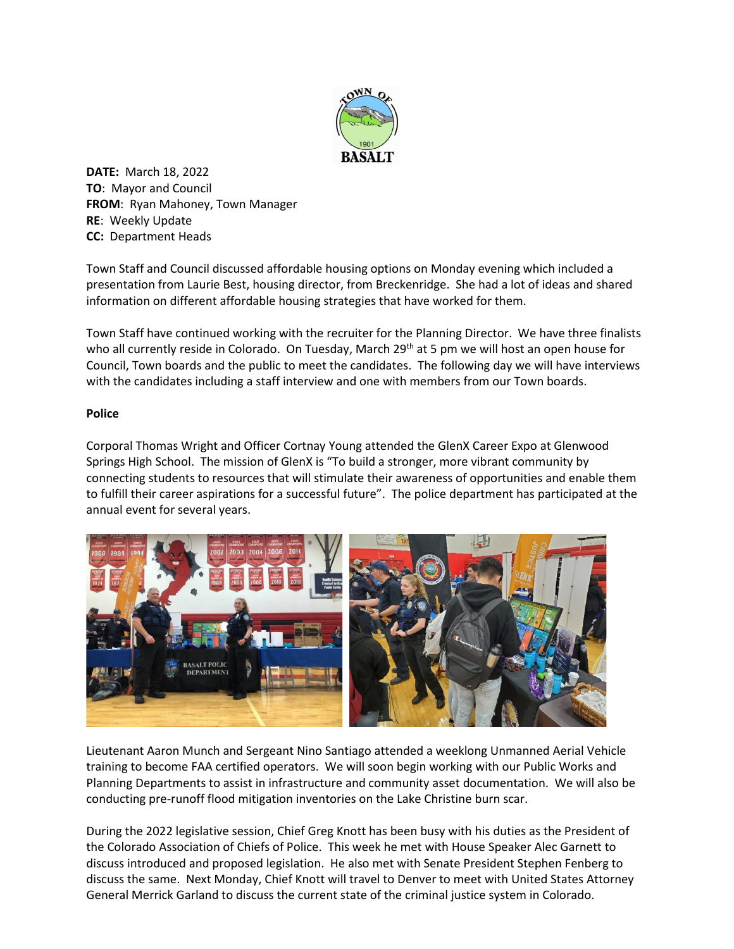

**DATE:** March 18, 2022 **TO**: Mayor and Council **FROM**: Ryan Mahoney, Town Manager **RE**: Weekly Update **CC:** Department Heads

Town Staff and Council discussed affordable housing options on Monday evening which included a presentation from Laurie Best, housing director, from Breckenridge. She had a lot of ideas and shared information on different affordable housing strategies that have worked for them.

Town Staff have continued working with the recruiter for the Planning Director. We have three finalists who all currently reside in Colorado. On Tuesday, March 29<sup>th</sup> at 5 pm we will host an open house for Council, Town boards and the public to meet the candidates. The following day we will have interviews with the candidates including a staff interview and one with members from our Town boards.

## **Police**

Corporal Thomas Wright and Officer Cortnay Young attended the GlenX Career Expo at Glenwood Springs High School. The mission of GlenX is "To build a stronger, more vibrant community by connecting students to resources that will stimulate their awareness of opportunities and enable them to fulfill their career aspirations for a successful future". The police department has participated at the annual event for several years.



Lieutenant Aaron Munch and Sergeant Nino Santiago attended a weeklong Unmanned Aerial Vehicle training to become FAA certified operators. We will soon begin working with our Public Works and Planning Departments to assist in infrastructure and community asset documentation. We will also be conducting pre-runoff flood mitigation inventories on the Lake Christine burn scar.

During the 2022 legislative session, Chief Greg Knott has been busy with his duties as the President of the Colorado Association of Chiefs of Police. This week he met with House Speaker Alec Garnett to discuss introduced and proposed legislation. He also met with Senate President Stephen Fenberg to discuss the same. Next Monday, Chief Knott will travel to Denver to meet with United States Attorney General Merrick Garland to discuss the current state of the criminal justice system in Colorado.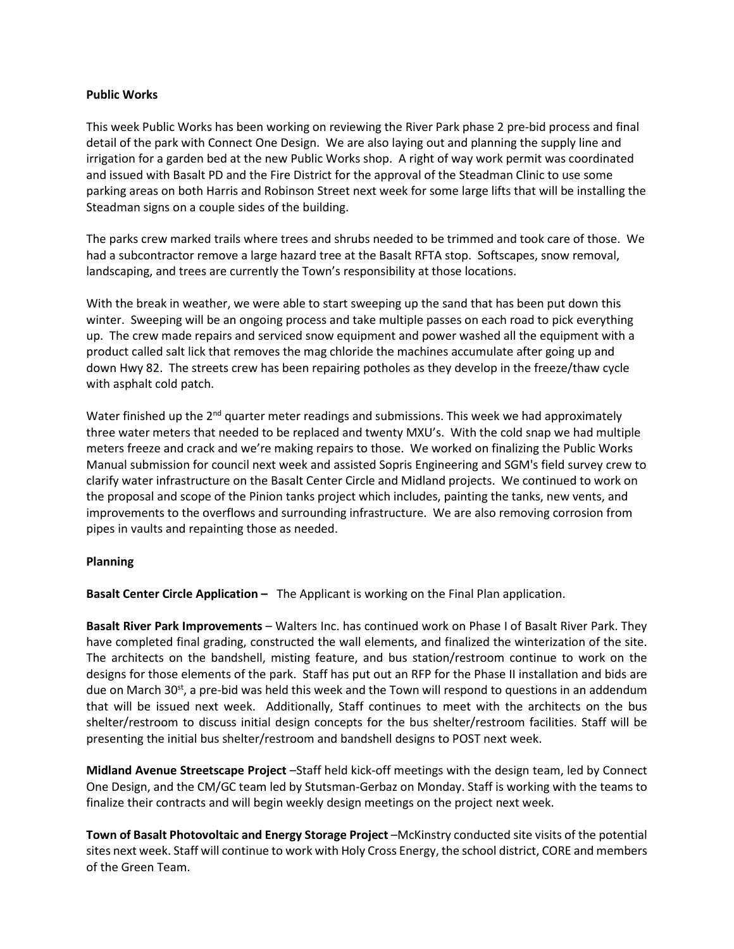## **Public Works**

This week Public Works has been working on reviewing the River Park phase 2 pre-bid process and final detail of the park with Connect One Design. We are also laying out and planning the supply line and irrigation for a garden bed at the new Public Works shop. A right of way work permit was coordinated and issued with Basalt PD and the Fire District for the approval of the Steadman Clinic to use some parking areas on both Harris and Robinson Street next week for some large lifts that will be installing the Steadman signs on a couple sides of the building.

The parks crew marked trails where trees and shrubs needed to be trimmed and took care of those. We had a subcontractor remove a large hazard tree at the Basalt RFTA stop. Softscapes, snow removal, landscaping, and trees are currently the Town's responsibility at those locations.

With the break in weather, we were able to start sweeping up the sand that has been put down this winter. Sweeping will be an ongoing process and take multiple passes on each road to pick everything up. The crew made repairs and serviced snow equipment and power washed all the equipment with a product called salt lick that removes the mag chloride the machines accumulate after going up and down Hwy 82. The streets crew has been repairing potholes as they develop in the freeze/thaw cycle with asphalt cold patch.

Water finished up the  $2^{nd}$  quarter meter readings and submissions. This week we had approximately three water meters that needed to be replaced and twenty MXU's. With the cold snap we had multiple meters freeze and crack and we're making repairs to those. We worked on finalizing the Public Works Manual submission for council next week and assisted Sopris Engineering and SGM's field survey crew to clarify water infrastructure on the Basalt Center Circle and Midland projects. We continued to work on the proposal and scope of the Pinion tanks project which includes, painting the tanks, new vents, and improvements to the overflows and surrounding infrastructure. We are also removing corrosion from pipes in vaults and repainting those as needed.

## **Planning**

**Basalt Center Circle Application –** The Applicant is working on the Final Plan application.

**Basalt River Park Improvements** – Walters Inc. has continued work on Phase I of Basalt River Park. They have completed final grading, constructed the wall elements, and finalized the winterization of the site. The architects on the bandshell, misting feature, and bus station/restroom continue to work on the designs for those elements of the park. Staff has put out an RFP for the Phase II installation and bids are due on March 30 $s$ <sup>t</sup>, a pre-bid was held this week and the Town will respond to questions in an addendum that will be issued next week. Additionally, Staff continues to meet with the architects on the bus shelter/restroom to discuss initial design concepts for the bus shelter/restroom facilities. Staff will be presenting the initial bus shelter/restroom and bandshell designs to POST next week.

**Midland Avenue Streetscape Project** –Staff held kick-off meetings with the design team, led by Connect One Design, and the CM/GC team led by Stutsman-Gerbaz on Monday. Staff is working with the teams to finalize their contracts and will begin weekly design meetings on the project next week.

**Town of Basalt Photovoltaic and Energy Storage Project** –McKinstry conducted site visits of the potential sites next week. Staff will continue to work with Holy Cross Energy, the school district, CORE and members of the Green Team.